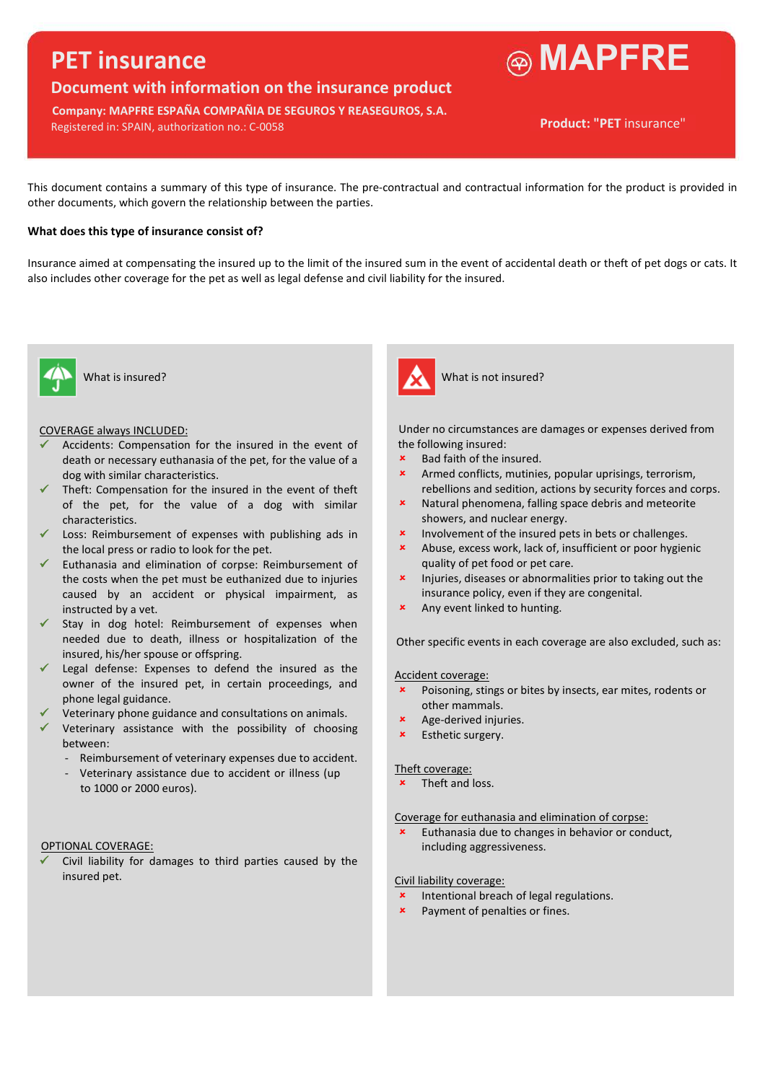# **PET insurance**

## **Document with information on the insurance product**

**Company: MAPFRE ESPAÑA COMPAÑIA DE SEGUROS Y REASEGUROS, S.A.** Registered in: SPAIN, authorization no.: C-0058



This document contains a summary of this type of insurance. The pre-contractual and contractual information for the product is provided in other documents, which govern the relationship between the parties.

#### **What does this type of insurance consist of?**

Insurance aimed at compensating the insured up to the limit of the insured sum in the event of accidental death or theft of pet dogs or cats. It also includes other coverage for the pet as well as legal defense and civil liability for the insured.



- Accidents: Compensation for the insured in the event of death or necessary euthanasia of the pet, for the value of a dog with similar characteristics.
- $\checkmark$  Theft: Compensation for the insured in the event of theft of the pet, for the value of a dog with similar characteristics.
- Loss: Reimbursement of expenses with publishing ads in the local press or radio to look for the pet.
- $\checkmark$  Euthanasia and elimination of corpse: Reimbursement of the costs when the pet must be euthanized due to injuries caused by an accident or physical impairment, as instructed by a vet.
- $\checkmark$  Stay in dog hotel: Reimbursement of expenses when needed due to death, illness or hospitalization of the insured, his/her spouse or offspring.
- $\checkmark$  Legal defense: Expenses to defend the insured as the owner of the insured pet, in certain proceedings, and phone legal guidance.
- Veterinary phone guidance and consultations on animals.
- Veterinary assistance with the possibility of choosing between:
	- Reimbursement of veterinary expenses due to accident.
	- Veterinary assistance due to accident or illness (up to 1000 or 2000 euros).

#### OPTIONAL COVERAGE:

 Civil liability for damages to third parties caused by the insured pet.



What is insured? What is not insured?

COVERAGE always INCLUDED: Under no circumstances are damages or expenses derived from the following insured:

- Bad faith of the insured.
- Armed conflicts, mutinies, popular uprisings, terrorism, rebellions and sedition, actions by security forces and corps.
- Natural phenomena, falling space debris and meteorite showers, and nuclear energy.
- **x** Involvement of the insured pets in bets or challenges.
- Abuse, excess work, lack of, insufficient or poor hygienic quality of pet food or pet care.
- **x** Injuries, diseases or abnormalities prior to taking out the insurance policy, even if they are congenital.
- **\*** Any event linked to hunting.

Other specific events in each coverage are also excluded, such as:

#### Accident coverage:

- Poisoning, stings or bites by insects, ear mites, rodents or other mammals.
- Age-derived injuries.
- Esthetic surgery.

#### Theft coverage:

Theft and loss.

Coverage for euthanasia and elimination of corpse:

 Euthanasia due to changes in behavior or conduct, including aggressiveness.

#### Civil liability coverage:

- **\*** Intentional breach of legal regulations.
- **\*** Payment of penalties or fines.